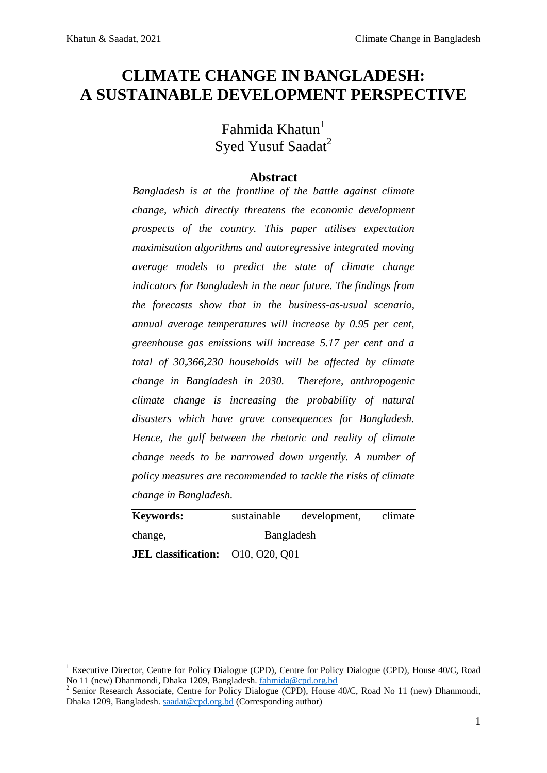**.** 

# **CLIMATE CHANGE IN BANGLADESH: A SUSTAINABLE DEVELOPMENT PERSPECTIVE**

Fahmida Khatun<sup>1</sup> Syed Yusuf Saadat<sup>2</sup>

### **Abstract**

*Bangladesh is at the frontline of the battle against climate change, which directly threatens the economic development prospects of the country. This paper utilises expectation maximisation algorithms and autoregressive integrated moving average models to predict the state of climate change indicators for Bangladesh in the near future. The findings from the forecasts show that in the business-as-usual scenario, annual average temperatures will increase by 0.95 per cent, greenhouse gas emissions will increase 5.17 per cent and a total of 30,366,230 households will be affected by climate change in Bangladesh in 2030. Therefore, anthropogenic climate change is increasing the probability of natural disasters which have grave consequences for Bangladesh. Hence, the gulf between the rhetoric and reality of climate change needs to be narrowed down urgently. A number of policy measures are recommended to tackle the risks of climate change in Bangladesh.* 

**Keywords:** sustainable development, climate change, Bangladesh **JEL classification:** O10, O20, Q01

<sup>1</sup> Executive Director, Centre for Policy Dialogue (CPD), Centre for Policy Dialogue (CPD), House 40/C, Road No 11 (new) Dhanmondi, Dhaka 1209, Bangladesh. [fahmida@cpd.org.bd](mailto:fahmida@cpd.org.bd)

<sup>&</sup>lt;sup>2</sup> Senior Research Associate, Centre for Policy Dialogue (CPD), House 40/C, Road No 11 (new) Dhanmondi, Dhaka 1209, Bangladesh. [saadat@cpd.org.bd](mailto:saadat@cpd.org.bd) (Corresponding author)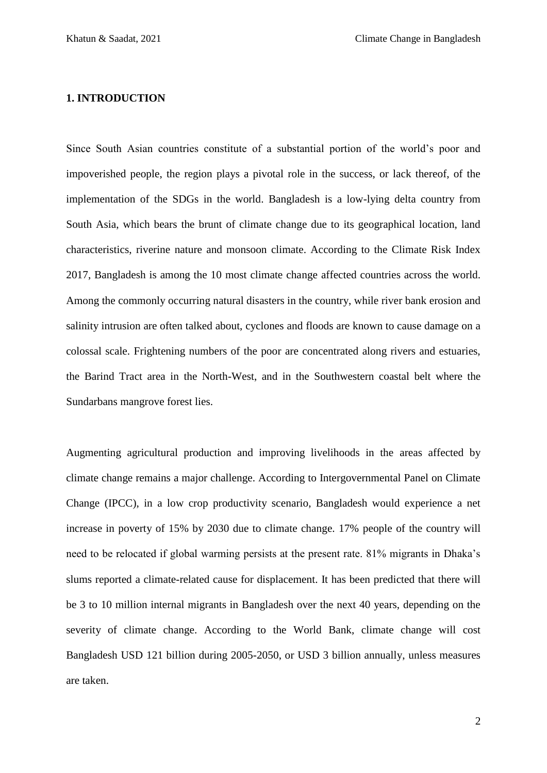### **1. INTRODUCTION**

Since South Asian countries constitute of a substantial portion of the world's poor and impoverished people, the region plays a pivotal role in the success, or lack thereof, of the implementation of the SDGs in the world. Bangladesh is a low-lying delta country from South Asia, which bears the brunt of climate change due to its geographical location, land characteristics, riverine nature and monsoon climate. According to the Climate Risk Index 2017, Bangladesh is among the 10 most climate change affected countries across the world. Among the commonly occurring natural disasters in the country, while river bank erosion and salinity intrusion are often talked about, cyclones and floods are known to cause damage on a colossal scale. Frightening numbers of the poor are concentrated along rivers and estuaries, the Barind Tract area in the North-West, and in the Southwestern coastal belt where the Sundarbans mangrove forest lies.

Augmenting agricultural production and improving livelihoods in the areas affected by climate change remains a major challenge. According to Intergovernmental Panel on Climate Change (IPCC), in a low crop productivity scenario, Bangladesh would experience a net increase in poverty of 15% by 2030 due to climate change. 17% people of the country will need to be relocated if global warming persists at the present rate. 81% migrants in Dhaka's slums reported a climate-related cause for displacement. It has been predicted that there will be 3 to 10 million internal migrants in Bangladesh over the next 40 years, depending on the severity of climate change. According to the World Bank, climate change will cost Bangladesh USD 121 billion during 2005-2050, or USD 3 billion annually, unless measures are taken.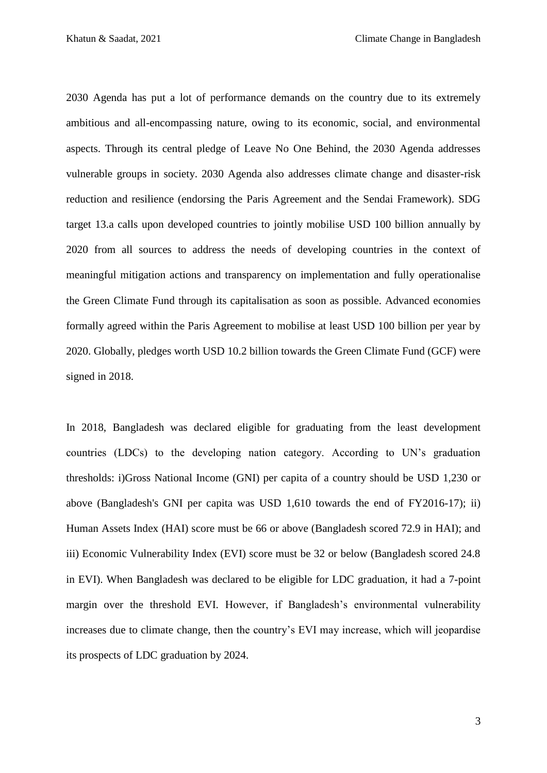2030 Agenda has put a lot of performance demands on the country due to its extremely ambitious and all-encompassing nature, owing to its economic, social, and environmental aspects. Through its central pledge of Leave No One Behind, the 2030 Agenda addresses vulnerable groups in society. 2030 Agenda also addresses climate change and disaster-risk reduction and resilience (endorsing the Paris Agreement and the Sendai Framework). SDG target 13.a calls upon developed countries to jointly mobilise USD 100 billion annually by 2020 from all sources to address the needs of developing countries in the context of meaningful mitigation actions and transparency on implementation and fully operationalise the Green Climate Fund through its capitalisation as soon as possible. Advanced economies formally agreed within the Paris Agreement to mobilise at least USD 100 billion per year by 2020. Globally, pledges worth USD 10.2 billion towards the Green Climate Fund (GCF) were signed in 2018.

In 2018, Bangladesh was declared eligible for graduating from the least development countries (LDCs) to the developing nation category. According to UN's graduation thresholds: i)Gross National Income (GNI) per capita of a country should be USD 1,230 or above (Bangladesh's GNI per capita was USD 1,610 towards the end of FY2016-17); ii) Human Assets Index (HAI) score must be 66 or above (Bangladesh scored 72.9 in HAI); and iii) Economic Vulnerability Index (EVI) score must be 32 or below (Bangladesh scored 24.8 in EVI). When Bangladesh was declared to be eligible for LDC graduation, it had a 7-point margin over the threshold EVI. However, if Bangladesh's environmental vulnerability increases due to climate change, then the country's EVI may increase, which will jeopardise its prospects of LDC graduation by 2024.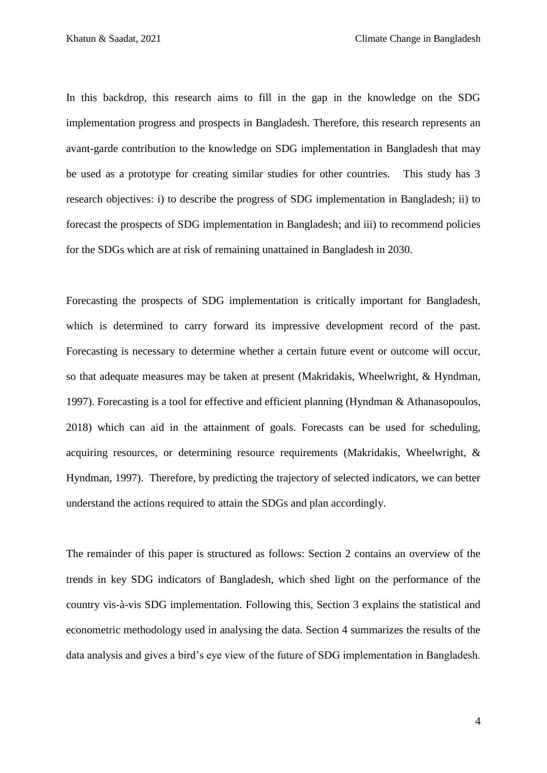In this backdrop, this research aims to fill in the gap in the knowledge on the SDG implementation progress and prospects in Bangladesh. Therefore, this research represents an avant-garde contribution to the knowledge on SDG implementation in Bangladesh that may be used as a prototype for creating similar studies for other countries. This study has 3 research objectives: i) to describe the progress of SDG implementation in Bangladesh; ii) to forecast the prospects of SDG implementation in Bangladesh; and iii) to recommend policies for the SDGs which are at risk of remaining unattained in Bangladesh in 2030.

Forecasting the prospects of SDG implementation is critically important for Bangladesh, which is determined to carry forward its impressive development record of the past. Forecasting is necessary to determine whether a certain future event or outcome will occur, so that adequate measures may be taken at present (Makridakis, Wheelwright, & Hyndman, 1997). Forecasting is a tool for effective and efficient planning (Hyndman & Athanasopoulos, 2018) which can aid in the attainment of goals. Forecasts can be used for scheduling, acquiring resources, or determining resource requirements (Makridakis, Wheelwright, & Hyndman, 1997). Therefore, by predicting the trajectory of selected indicators, we can better understand the actions required to attain the SDGs and plan accordingly.

The remainder of this paper is structured as follows: Section 2 contains an overview of the trends in key SDG indicators of Bangladesh, which shed light on the performance of the country vis-à-vis SDG implementation. Following this, Section 3 explains the statistical and econometric methodology used in analysing the data. Section 4 summarizes the results of the data analysis and gives a bird's eye view of the future of SDG implementation in Bangladesh.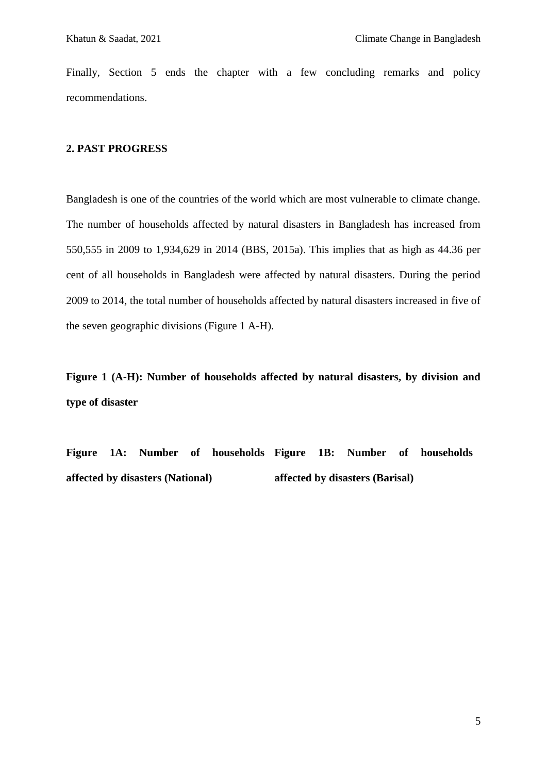Finally, Section 5 ends the chapter with a few concluding remarks and policy recommendations.

### **2. PAST PROGRESS**

Bangladesh is one of the countries of the world which are most vulnerable to climate change. The number of households affected by natural disasters in Bangladesh has increased from 550,555 in 2009 to 1,934,629 in 2014 (BBS, 2015a). This implies that as high as 44.36 per cent of all households in Bangladesh were affected by natural disasters. During the period 2009 to 2014, the total number of households affected by natural disasters increased in five of the seven geographic divisions (Figure 1 A-H).

**Figure 1 (A-H): Number of households affected by natural disasters, by division and type of disaster**

**Figure 1A: Number of households Figure 1B: Number of households affected by disasters (National) affected by disasters (Barisal)**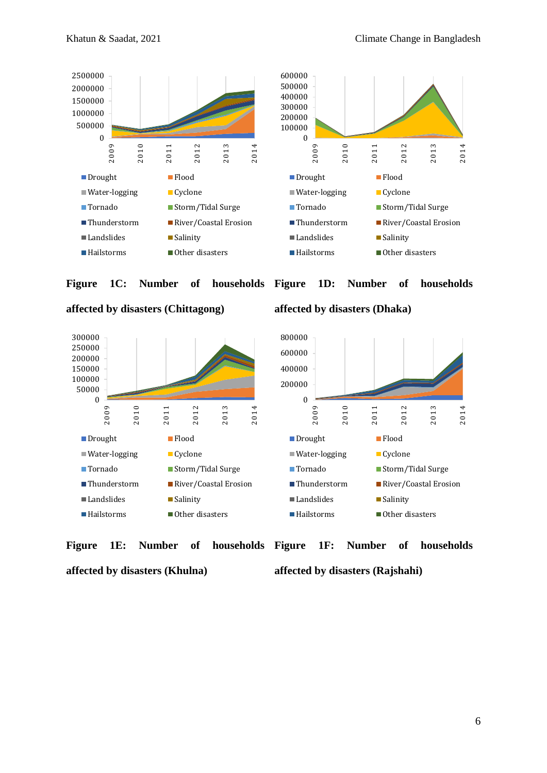

**Figure 1C: Number of households** 

1D: Number of households







**affected by disasters (Dhaka)**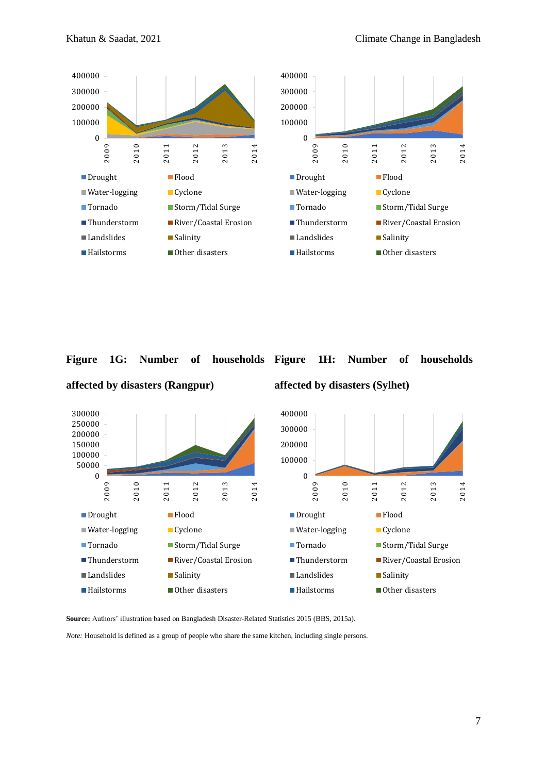

### **Figure 1G: Number of households**



**affected by disasters (Rangpur)**





**Source:** Authors' illustration based on Bangladesh Disaster-Related Statistics 2015 (BBS, 2015a).

*Note:* Household is defined as a group of people who share the same kitchen, including single persons.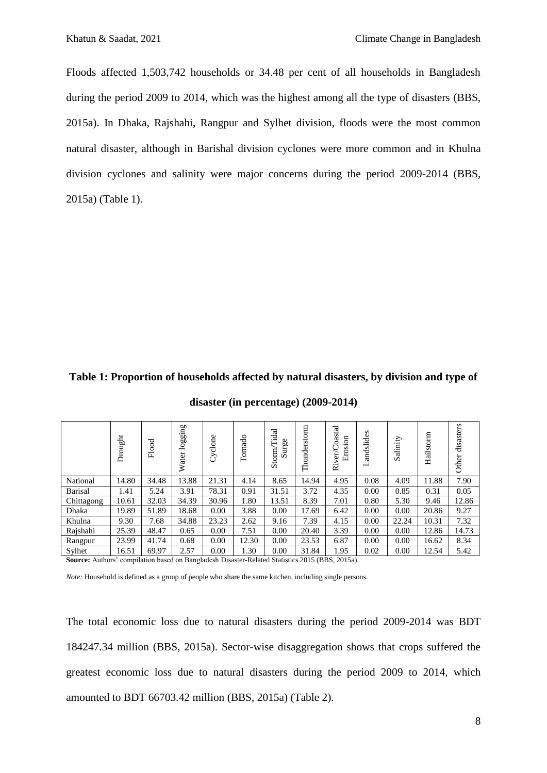Floods affected 1,503,742 households or 34.48 per cent of all households in Bangladesh during the period 2009 to 2014, which was the highest among all the type of disasters (BBS, 2015a). In Dhaka, Rajshahi, Rangpur and Sylhet division, floods were the most common natural disaster, although in Barishal division cyclones were more common and in Khulna division cyclones and salinity were major concerns during the period 2009-2014 (BBS, 2015a) (Table 1).

### **Table 1: Proportion of households affected by natural disasters, by division and type of**

|                                                                                                        | Drought | Flood | logging<br>Water | Cyclone | Tornado | Tidal<br>Surge<br>Storm | Thunderstorm | oastal<br>Erosion<br>er/C<br>Riv | andslides<br>⊣ | Salinity | Hailstorm | disasters<br>Other |
|--------------------------------------------------------------------------------------------------------|---------|-------|------------------|---------|---------|-------------------------|--------------|----------------------------------|----------------|----------|-----------|--------------------|
| National                                                                                               | 14.80   | 34.48 | 13.88            | 21.31   | 4.14    | 8.65                    | 14.94        | 4.95                             | 0.08           | 4.09     | 11.88     | 7.90               |
| <b>Barisal</b>                                                                                         | 1.41    | 5.24  | 3.91             | 78.31   | 0.91    | 31.51                   | 3.72         | 4.35                             | 0.00           | 0.85     | 0.31      | 0.05               |
| Chittagong                                                                                             | 10.61   | 32.03 | 34.39            | 30.96   | 1.80    | 13.51                   | 8.39         | 7.01                             | 0.80           | 5.30     | 9.46      | 12.86              |
| Dhaka                                                                                                  | 19.89   | 51.89 | 18.68            | 0.00    | 3.88    | 0.00                    | 17.69        | 6.42                             | 0.00           | 0.00     | 20.86     | 9.27               |
| Khulna                                                                                                 | 9.30    | 7.68  | 34.88            | 23.23   | 2.62    | 9.16                    | 7.39         | 4.15                             | 0.00           | 22.24    | 10.31     | 7.32               |
| Rajshahi                                                                                               | 25.39   | 48.47 | 0.65             | 0.00    | 7.51    | 0.00                    | 20.40        | 3.39                             | 0.00           | 0.00     | 12.86     | 14.73              |
| Rangpur                                                                                                | 23.99   | 41.74 | 0.68             | 0.00    | 12.30   | 0.00                    | 23.53        | 6.87                             | 0.00           | 0.00     | 16.62     | 8.34               |
| Sylhet                                                                                                 | 16.51   | 69.97 | 2.57             | 0.00    | 1.30    | 0.00                    | 31.84        | 1.95                             | 0.02           | 0.00     | 12.54     | 5.42               |
| <b>Source:</b> Authors' compilation based on Bangladesh Disaster-Related Statistics 2015 (BBS, 2015a). |         |       |                  |         |         |                         |              |                                  |                |          |           |                    |

**disaster (in percentage) (2009-2014)**

*Note:* Household is defined as a group of people who share the same kitchen, including single persons.

The total economic loss due to natural disasters during the period 2009-2014 was BDT 184247.34 million (BBS, 2015a). Sector-wise disaggregation shows that crops suffered the greatest economic loss due to natural disasters during the period 2009 to 2014, which amounted to BDT 66703.42 million (BBS, 2015a) (Table 2).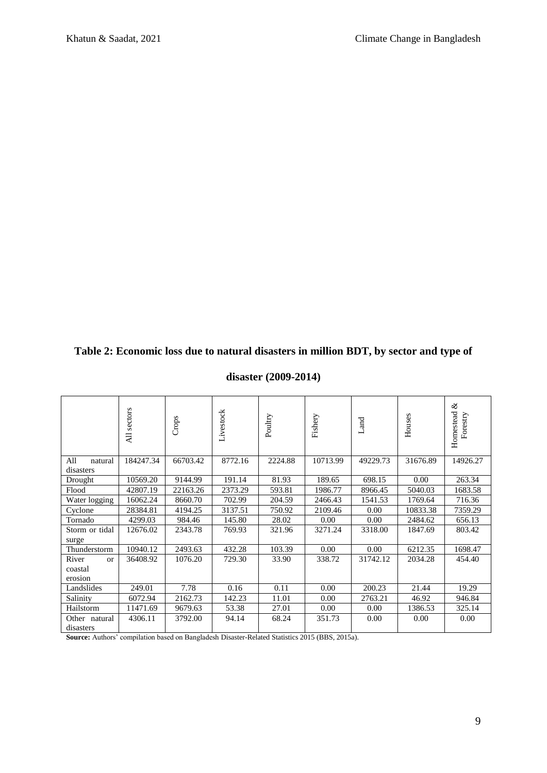## **Table 2: Economic loss due to natural disasters in million BDT, by sector and type of**

|                                          | sectors<br>$\overline{AB}$ |          | Livestock | Poultry | Fishery<br>Land |          | Houses   | ళ<br>Homestead<br>Forestry |
|------------------------------------------|----------------------------|----------|-----------|---------|-----------------|----------|----------|----------------------------|
| All<br>natural<br>disasters              | 184247.34                  | 66703.42 | 8772.16   | 2224.88 | 10713.99        | 49229.73 | 31676.89 | 14926.27                   |
| Drought                                  | 10569.20                   | 9144.99  | 191.14    | 81.93   | 189.65          | 698.15   | 0.00     | 263.34                     |
| Flood                                    | 42807.19                   | 22163.26 | 2373.29   | 593.81  | 1986.77         | 8966.45  | 5040.03  | 1683.58                    |
| Water logging                            | 16062.24                   | 8660.70  | 702.99    | 204.59  | 2466.43         | 1541.53  | 1769.64  | 716.36                     |
| Cyclone                                  | 28384.81                   | 4194.25  | 3137.51   | 750.92  | 2109.46         | 0.00     | 10833.38 | 7359.29                    |
| Tornado                                  | 4299.03                    | 984.46   | 145.80    | 28.02   | 0.00            | 0.00     | 2484.62  | 656.13                     |
| Storm or tidal<br>surge                  | 12676.02                   | 2343.78  | 769.93    | 321.96  | 3271.24         | 3318.00  | 1847.69  | 803.42                     |
| Thunderstorm                             | 10940.12                   | 2493.63  | 432.28    | 103.39  | 0.00            | 0.00     | 6212.35  | 1698.47                    |
| River<br><b>or</b><br>coastal<br>erosion | 36408.92                   | 1076.20  | 729.30    | 33.90   | 338.72          | 31742.12 | 2034.28  | 454.40                     |
| Landslides                               | 249.01                     | 7.78     | 0.16      | 0.11    | 0.00            | 200.23   | 21.44    | 19.29                      |
| Salinity                                 | 6072.94                    | 2162.73  | 142.23    | 11.01   | 0.00            | 2763.21  | 46.92    | 946.84                     |
| Hailstorm                                | 11471.69                   | 9679.63  | 53.38     | 27.01   | 0.00            | 0.00     | 1386.53  | 325.14                     |
| Other natural                            | 4306.11                    | 3792.00  | 94.14     | 68.24   | 351.73          | 0.00     | 0.00     | 0.00                       |
| disasters                                |                            |          |           |         |                 |          |          |                            |

### **disaster (2009-2014)**

**Source:** Authors' compilation based on Bangladesh Disaster-Related Statistics 2015 (BBS, 2015a).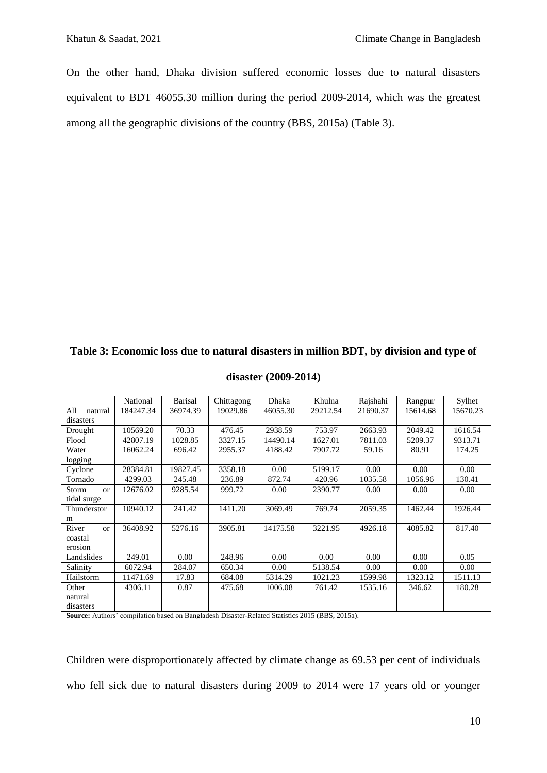On the other hand, Dhaka division suffered economic losses due to natural disasters equivalent to BDT 46055.30 million during the period 2009-2014, which was the greatest among all the geographic divisions of the country (BBS, 2015a) (Table 3).

|                   | National  | <b>Barisal</b> | Chittagong | Dhaka    | Khulna   | Rajshahi | Rangpur  | Sylhet   |
|-------------------|-----------|----------------|------------|----------|----------|----------|----------|----------|
| All<br>natural    | 184247.34 | 36974.39       | 19029.86   | 46055.30 | 29212.54 | 21690.37 | 15614.68 | 15670.23 |
| disasters         |           |                |            |          |          |          |          |          |
| Drought           | 10569.20  | 70.33          | 476.45     | 2938.59  | 753.97   | 2663.93  | 2049.42  | 1616.54  |
| Flood             | 42807.19  | 1028.85        | 3327.15    | 14490.14 | 1627.01  | 7811.03  | 5209.37  | 9313.71  |
| Water             | 16062.24  | 696.42         | 2955.37    | 4188.42  | 7907.72  | 59.16    | 80.91    | 174.25   |
| logging           |           |                |            |          |          |          |          |          |
| Cyclone           | 28384.81  | 19827.45       | 3358.18    | 0.00     | 5199.17  | 0.00     | 0.00     | 0.00     |
| Tornado           | 4299.03   | 245.48         | 236.89     | 872.74   | 420.96   | 1035.58  | 1056.96  | 130.41   |
| Storm<br>$\alpha$ | 12676.02  | 9285.54        | 999.72     | 0.00     | 2390.77  | 0.00     | 0.00     | 0.00     |
| tidal surge       |           |                |            |          |          |          |          |          |
| Thunderstor       | 10940.12  | 241.42         | 1411.20    | 3069.49  | 769.74   | 2059.35  | 1462.44  | 1926.44  |
| m                 |           |                |            |          |          |          |          |          |
| River<br>or       | 36408.92  | 5276.16        | 3905.81    | 14175.58 | 3221.95  | 4926.18  | 4085.82  | 817.40   |
| coastal           |           |                |            |          |          |          |          |          |
| erosion           |           |                |            |          |          |          |          |          |
| Landslides        | 249.01    | 0.00           | 248.96     | 0.00     | 0.00     | 0.00     | 0.00     | 0.05     |
| Salinity          | 6072.94   | 284.07         | 650.34     | 0.00     | 5138.54  | 0.00     | 0.00     | 0.00     |
| Hailstorm         | 11471.69  | 17.83          | 684.08     | 5314.29  | 1021.23  | 1599.98  | 1323.12  | 1511.13  |
| Other             | 4306.11   | 0.87           | 475.68     | 1006.08  | 761.42   | 1535.16  | 346.62   | 180.28   |
| natural           |           |                |            |          |          |          |          |          |
| disasters         |           |                |            |          |          |          |          |          |

### **disaster (2009-2014)**

**Source:** Authors' compilation based on Bangladesh Disaster-Related Statistics 2015 (BBS, 2015a).

Children were disproportionately affected by climate change as 69.53 per cent of individuals who fell sick due to natural disasters during 2009 to 2014 were 17 years old or younger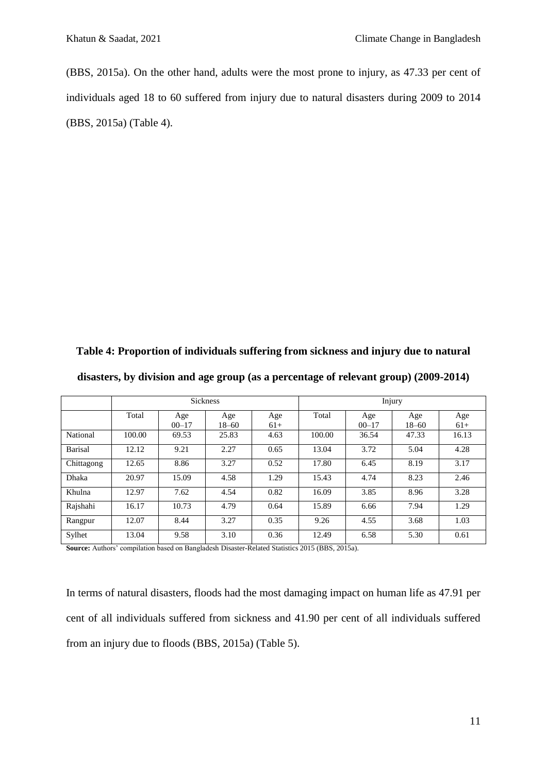(BBS, 2015a). On the other hand, adults were the most prone to injury, as 47.33 per cent of individuals aged 18 to 60 suffered from injury due to natural disasters during 2009 to 2014 (BBS, 2015a) (Table 4).

**Table 4: Proportion of individuals suffering from sickness and injury due to natural disasters, by division and age group (as a percentage of relevant group) (2009-2014)**

|                |        |                  | <b>Sickness</b>  |              | Injury |                  |                  |              |  |
|----------------|--------|------------------|------------------|--------------|--------|------------------|------------------|--------------|--|
|                | Total  | Age<br>$00 - 17$ | Age<br>$18 - 60$ | Age<br>$61+$ | Total  | Age<br>$00 - 17$ | Age<br>$18 - 60$ | Age<br>$61+$ |  |
| National       | 100.00 | 69.53            | 25.83            | 4.63         | 100.00 | 36.54            | 47.33            | 16.13        |  |
| <b>Barisal</b> | 12.12  | 9.21             | 2.27             | 0.65         | 13.04  | 3.72             | 5.04             | 4.28         |  |
| Chittagong     | 12.65  | 8.86             | 3.27             | 0.52         | 17.80  | 6.45             | 8.19             | 3.17         |  |
| Dhaka          | 20.97  | 15.09            | 4.58             | 1.29         | 15.43  | 4.74             | 8.23             | 2.46         |  |
| Khulna         | 12.97  | 7.62             | 4.54             | 0.82         | 16.09  | 3.85             | 8.96             | 3.28         |  |
| Rajshahi       | 16.17  | 10.73            | 4.79             | 0.64         | 15.89  | 6.66             | 7.94             | 1.29         |  |
| Rangpur        | 12.07  | 8.44             | 3.27             | 0.35         | 9.26   | 4.55             | 3.68             | 1.03         |  |
| Sylhet         | 13.04  | 9.58             | 3.10             | 0.36         | 12.49  | 6.58             | 5.30             | 0.61         |  |

**Source:** Authors' compilation based on Bangladesh Disaster-Related Statistics 2015 (BBS, 2015a).

In terms of natural disasters, floods had the most damaging impact on human life as 47.91 per cent of all individuals suffered from sickness and 41.90 per cent of all individuals suffered from an injury due to floods (BBS, 2015a) (Table 5).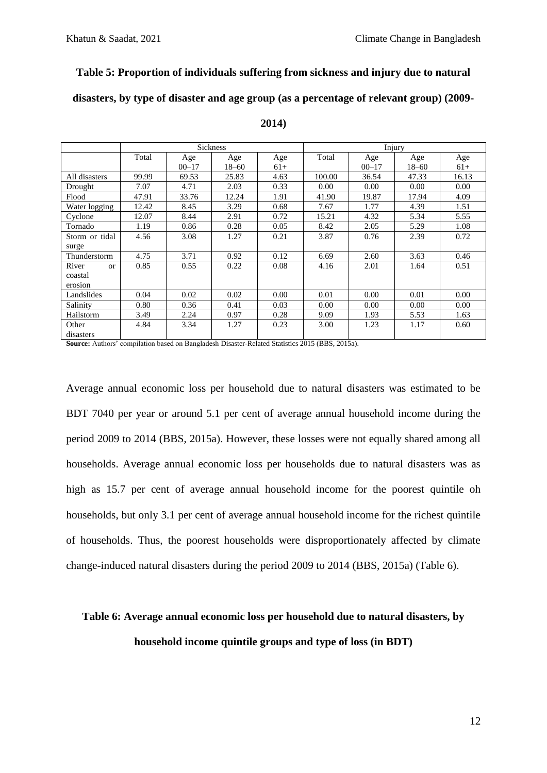### **Table 5: Proportion of individuals suffering from sickness and injury due to natural**

**disasters, by type of disaster and age group (as a percentage of relevant group) (2009-**

|                   |       |           | <b>Sickness</b> |       | Injury |           |           |       |  |
|-------------------|-------|-----------|-----------------|-------|--------|-----------|-----------|-------|--|
|                   | Total | Age       | Age             | Age   | Total  | Age       | Age       | Age   |  |
|                   |       | $00 - 17$ | 18–60           | $61+$ |        | $00 - 17$ | $18 - 60$ | $61+$ |  |
| All disasters     | 99.99 | 69.53     | 25.83           | 4.63  | 100.00 | 36.54     | 47.33     | 16.13 |  |
| Drought           | 7.07  | 4.71      | 2.03            | 0.33  | 0.00   | 0.00      | 0.00      | 0.00  |  |
| Flood             | 47.91 | 33.76     | 12.24           | 1.91  | 41.90  | 19.87     | 17.94     | 4.09  |  |
| Water logging     | 12.42 | 8.45      | 3.29            | 0.68  | 7.67   | 1.77      | 4.39      | 1.51  |  |
| Cyclone           | 12.07 | 8.44      | 2.91            | 0.72  | 15.21  | 4.32      | 5.34      | 5.55  |  |
| Tornado           | 1.19  | 0.86      | 0.28            | 0.05  | 8.42   | 2.05      | 5.29      | 1.08  |  |
| Storm or tidal    | 4.56  | 3.08      | 1.27            | 0.21  | 3.87   | 0.76      | 2.39      | 0.72  |  |
| surge             |       |           |                 |       |        |           |           |       |  |
| Thunderstorm      | 4.75  | 3.71      | 0.92            | 0.12  | 6.69   | 2.60      | 3.63      | 0.46  |  |
| River<br>$\alpha$ | 0.85  | 0.55      | 0.22            | 0.08  | 4.16   | 2.01      | 1.64      | 0.51  |  |
| coastal           |       |           |                 |       |        |           |           |       |  |
| erosion           |       |           |                 |       |        |           |           |       |  |
| Landslides        | 0.04  | 0.02      | 0.02            | 0.00  | 0.01   | 0.00      | 0.01      | 0.00  |  |
| Salinity          | 0.80  | 0.36      | 0.41            | 0.03  | 0.00   | 0.00      | 0.00      | 0.00  |  |
| Hailstorm         | 3.49  | 2.24      | 0.97            | 0.28  | 9.09   | 1.93      | 5.53      | 1.63  |  |
| Other             | 4.84  | 3.34      | 1.27            | 0.23  | 3.00   | 1.23      | 1.17      | 0.60  |  |
| disasters         |       |           |                 |       |        |           |           |       |  |

### **2014)**

**Source:** Authors' compilation based on Bangladesh Disaster-Related Statistics 2015 (BBS, 2015a).

Average annual economic loss per household due to natural disasters was estimated to be BDT 7040 per year or around 5.1 per cent of average annual household income during the period 2009 to 2014 (BBS, 2015a). However, these losses were not equally shared among all households. Average annual economic loss per households due to natural disasters was as high as 15.7 per cent of average annual household income for the poorest quintile oh households, but only 3.1 per cent of average annual household income for the richest quintile of households. Thus, the poorest households were disproportionately affected by climate change-induced natural disasters during the period 2009 to 2014 (BBS, 2015a) (Table 6).

# **Table 6: Average annual economic loss per household due to natural disasters, by household income quintile groups and type of loss (in BDT)**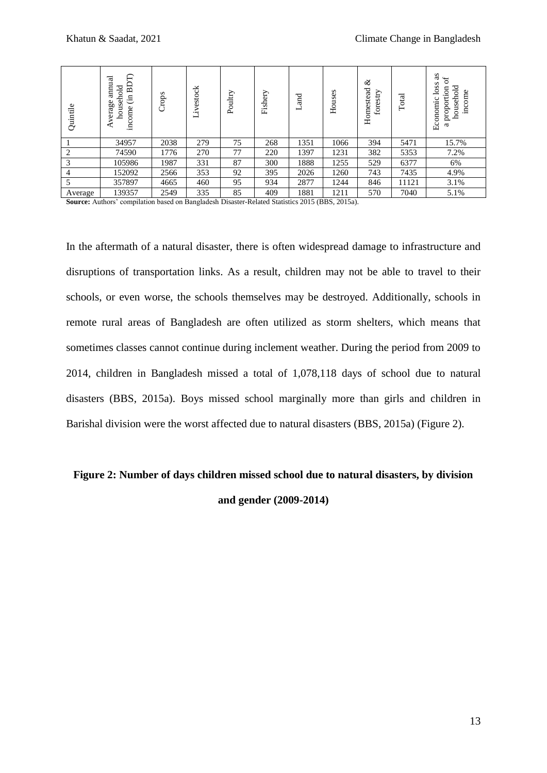| Quintile       | A<br>annual<br>旵<br>household<br>$\ddot{E}$<br>verage<br>income | Crops | vestock<br>$\cdot$ $\mathbf{r}$<br>┙ | Poultry | Fishery | nd<br>and | Houses | ళ<br>Homestead<br>stry<br>fore | Total | æ<br>s<br>los<br>ヮ<br>proportion<br>househol<br>income<br>Economic<br>2 |
|----------------|-----------------------------------------------------------------|-------|--------------------------------------|---------|---------|-----------|--------|--------------------------------|-------|-------------------------------------------------------------------------|
|                | 34957                                                           | 2038  | 279                                  | 75      | 268     | 1351      | 1066   | 394                            | 5471  | 15.7%                                                                   |
| $\overline{2}$ | 74590                                                           | 1776  | 270                                  | 77      | 220     | 1397      | 1231   | 382                            | 5353  | 7.2%                                                                    |
| 3              | 105986                                                          | 1987  | 331                                  | 87      | 300     | 1888      | 1255   | 529                            | 6377  | 6%                                                                      |
| $\overline{4}$ | 152092                                                          | 2566  | 353                                  | 92      | 395     | 2026      | 1260   | 743                            | 7435  | 4.9%                                                                    |
|                | 357897                                                          | 4665  | 460                                  | 95      | 934     | 2877      | 1244   | 846                            | 11121 | 3.1%                                                                    |
| Average        | 139357                                                          | 2549  | 335                                  | 85      | 409     | 1881      | 1211   | 570                            | 7040  | 5.1%                                                                    |

**Source:** Authors' compilation based on Bangladesh Disaster-Related Statistics 2015 (BBS, 2015a).

In the aftermath of a natural disaster, there is often widespread damage to infrastructure and disruptions of transportation links. As a result, children may not be able to travel to their schools, or even worse, the schools themselves may be destroyed. Additionally, schools in remote rural areas of Bangladesh are often utilized as storm shelters, which means that sometimes classes cannot continue during inclement weather. During the period from 2009 to 2014, children in Bangladesh missed a total of 1,078,118 days of school due to natural disasters (BBS, 2015a). Boys missed school marginally more than girls and children in Barishal division were the worst affected due to natural disasters (BBS, 2015a) (Figure 2).

# **Figure 2: Number of days children missed school due to natural disasters, by division and gender (2009-2014)**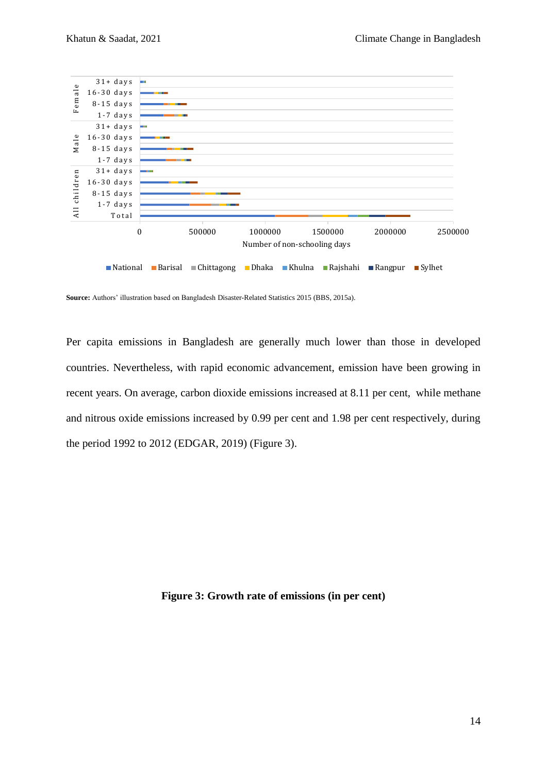

**Source:** Authors' illustration based on Bangladesh Disaster-Related Statistics 2015 (BBS, 2015a).

Per capita emissions in Bangladesh are generally much lower than those in developed countries. Nevertheless, with rapid economic advancement, emission have been growing in recent years. On average, carbon dioxide emissions increased at 8.11 per cent, while methane and nitrous oxide emissions increased by 0.99 per cent and 1.98 per cent respectively, during the period 1992 to 2012 (EDGAR, 2019) (Figure 3).

**Figure 3: Growth rate of emissions (in per cent)**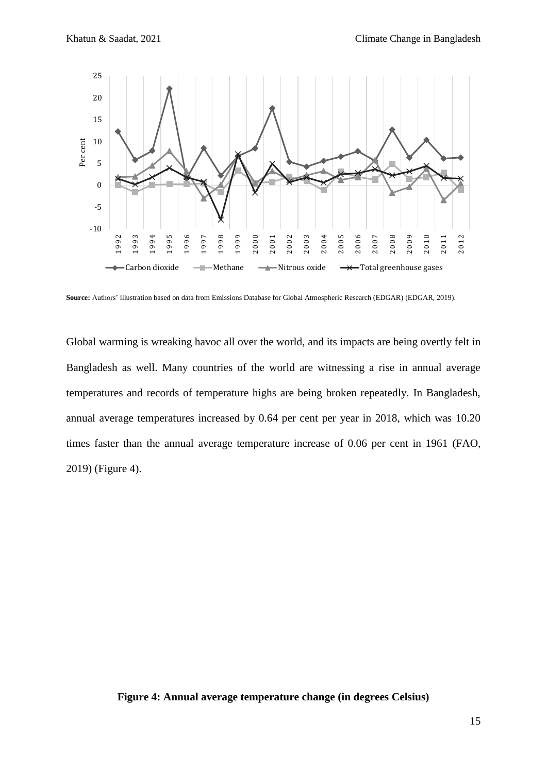

**Source:** Authors' illustration based on data from Emissions Database for Global Atmospheric Research (EDGAR) (EDGAR, 2019).

Global warming is wreaking havoc all over the world, and its impacts are being overtly felt in Bangladesh as well. Many countries of the world are witnessing a rise in annual average temperatures and records of temperature highs are being broken repeatedly. In Bangladesh, annual average temperatures increased by 0.64 per cent per year in 2018, which was 10.20 times faster than the annual average temperature increase of 0.06 per cent in 1961 (FAO, 2019) (Figure 4).

### **Figure 4: Annual average temperature change (in degrees Celsius)**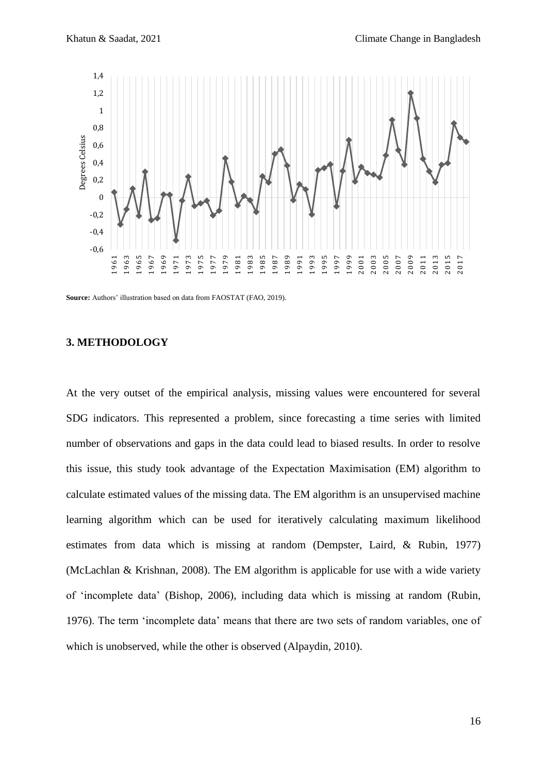

**Source:** Authors' illustration based on data from FAOSTAT (FAO, 2019).

### **3. METHODOLOGY**

At the very outset of the empirical analysis, missing values were encountered for several SDG indicators. This represented a problem, since forecasting a time series with limited number of observations and gaps in the data could lead to biased results. In order to resolve this issue, this study took advantage of the Expectation Maximisation (EM) algorithm to calculate estimated values of the missing data. The EM algorithm is an unsupervised machine learning algorithm which can be used for iteratively calculating maximum likelihood estimates from data which is missing at random (Dempster, Laird, & Rubin, 1977) (McLachlan & Krishnan, 2008). The EM algorithm is applicable for use with a wide variety of 'incomplete data' (Bishop, 2006), including data which is missing at random (Rubin, 1976). The term 'incomplete data' means that there are two sets of random variables, one of which is unobserved, while the other is observed (Alpaydin, 2010).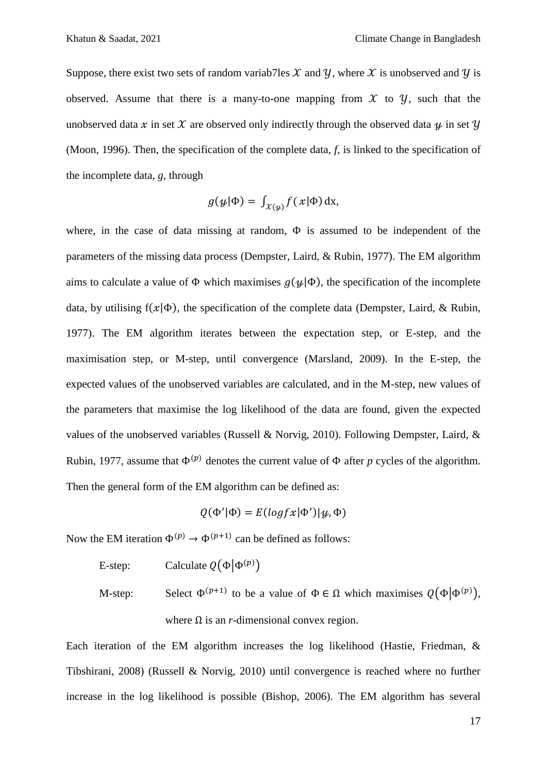Suppose, there exist two sets of random variab7les  $\mathcal X$  and  $\mathcal Y$ , where  $\mathcal X$  is unobserved and  $\mathcal Y$  is observed. Assume that there is a many-to-one mapping from  $\mathcal X$  to  $\mathcal Y$ , such that the unobserved data x in set X are observed only indirectly through the observed data  $\psi$  in set V (Moon, 1996). Then, the specification of the complete data, *f*, is linked to the specification of the incomplete data, *g*, through

$$
g(\psi|\Phi) = \int_{\mathcal{X}(\psi)} f(x|\Phi) \, \mathrm{dx},
$$

where, in the case of data missing at random,  $\Phi$  is assumed to be independent of the parameters of the missing data process (Dempster, Laird, & Rubin, 1977). The EM algorithm aims to calculate a value of  $\Phi$  which maximises  $g(\psi | \Phi)$ , the specification of the incomplete data, by utilising  $f(x|\Phi)$ , the specification of the complete data (Dempster, Laird, & Rubin, 1977). The EM algorithm iterates between the expectation step, or E-step, and the maximisation step, or M-step, until convergence (Marsland, 2009). In the E-step, the expected values of the unobserved variables are calculated, and in the M-step, new values of the parameters that maximise the log likelihood of the data are found, given the expected values of the unobserved variables (Russell & Norvig, 2010). Following Dempster, Laird, & Rubin, 1977, assume that  $\Phi^{(p)}$  denotes the current value of  $\Phi$  after *p* cycles of the algorithm. Then the general form of the EM algorithm can be defined as:

$$
Q(\Phi'|\Phi) = E(logfx|\Phi')|\psi, \Phi)
$$

Now the EM iteration  $\Phi^{(p)} \to \Phi^{(p+1)}$  can be defined as follows:

E-step: Calculate  $Q(\Phi | \Phi^{(p)})$ 

M-step: Select  $\Phi^{(p+1)}$  to be a value of  $\Phi \in \Omega$  which maximises  $Q(\Phi | \Phi^{(p)})$ , where  $\Omega$  is an *r*-dimensional convex region.

Each iteration of the EM algorithm increases the log likelihood (Hastie, Friedman, & Tibshirani, 2008) (Russell & Norvig, 2010) until convergence is reached where no further increase in the log likelihood is possible (Bishop, 2006). The EM algorithm has several

17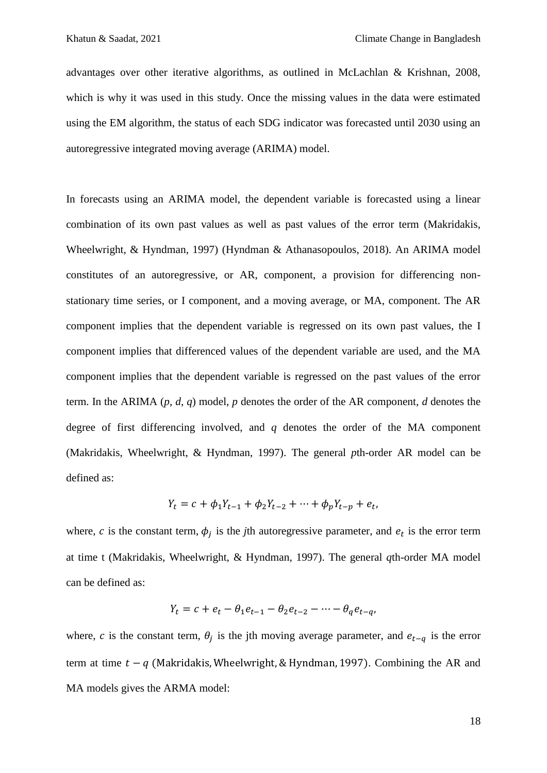advantages over other iterative algorithms, as outlined in McLachlan & Krishnan, 2008, which is why it was used in this study. Once the missing values in the data were estimated using the EM algorithm, the status of each SDG indicator was forecasted until 2030 using an autoregressive integrated moving average (ARIMA) model.

In forecasts using an ARIMA model, the dependent variable is forecasted using a linear combination of its own past values as well as past values of the error term (Makridakis, Wheelwright, & Hyndman, 1997) (Hyndman & Athanasopoulos, 2018). An ARIMA model constitutes of an autoregressive, or AR, component, a provision for differencing nonstationary time series, or I component, and a moving average, or MA, component. The AR component implies that the dependent variable is regressed on its own past values, the I component implies that differenced values of the dependent variable are used, and the MA component implies that the dependent variable is regressed on the past values of the error term. In the ARIMA (*p*, *d*, *q*) model, *p* denotes the order of the AR component, *d* denotes the degree of first differencing involved, and *q* denotes the order of the MA component (Makridakis, Wheelwright, & Hyndman, 1997). The general *p*th-order AR model can be defined as:

$$
Y_t = c + \phi_1 Y_{t-1} + \phi_2 Y_{t-2} + \dots + \phi_p Y_{t-p} + e_t,
$$

where, c is the constant term,  $\phi_i$  is the *j*th autoregressive parameter, and  $e_t$  is the error term at time t (Makridakis, Wheelwright, & Hyndman, 1997). The general *q*th-order MA model can be defined as:

$$
Y_t = c + e_t - \theta_1 e_{t-1} - \theta_2 e_{t-2} - \dots - \theta_q e_{t-q}
$$

where, c is the constant term,  $\theta_i$  is the jth moving average parameter, and  $e_{t-a}$  is the error term at time  $t - q$  (Makridakis, Wheelwright, & Hyndman, 1997). Combining the AR and MA models gives the ARMA model: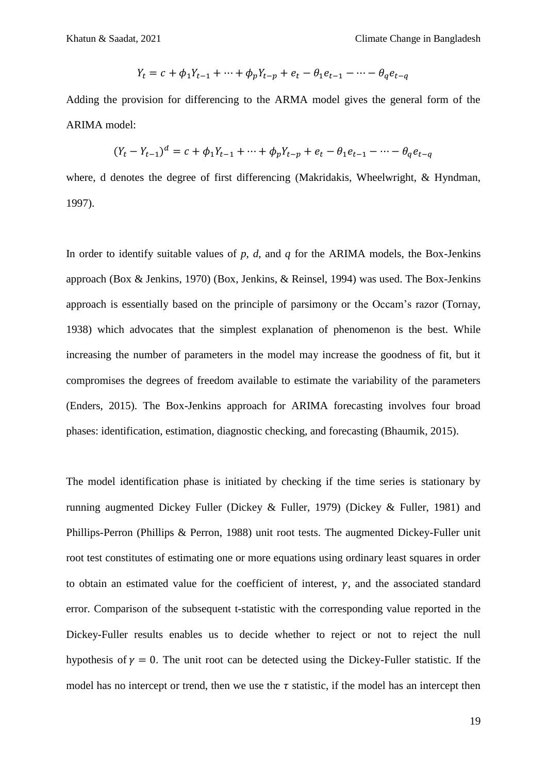$$
Y_t = c + \phi_1 Y_{t-1} + \dots + \phi_p Y_{t-p} + e_t - \theta_1 e_{t-1} - \dots - \theta_q e_{t-q}
$$

Adding the provision for differencing to the ARMA model gives the general form of the ARIMA model:

$$
(Y_t - Y_{t-1})^d = c + \phi_1 Y_{t-1} + \dots + \phi_p Y_{t-p} + e_t - \theta_1 e_{t-1} - \dots - \theta_q e_{t-q}
$$

where, d denotes the degree of first differencing (Makridakis, Wheelwright, & Hyndman, 1997).

In order to identify suitable values of *p*, *d*, and *q* for the ARIMA models, the Box-Jenkins approach (Box & Jenkins, 1970) (Box, Jenkins, & Reinsel, 1994) was used. The Box-Jenkins approach is essentially based on the principle of parsimony or the Occam's razor (Tornay, 1938) which advocates that the simplest explanation of phenomenon is the best. While increasing the number of parameters in the model may increase the goodness of fit, but it compromises the degrees of freedom available to estimate the variability of the parameters (Enders, 2015). The Box-Jenkins approach for ARIMA forecasting involves four broad phases: identification, estimation, diagnostic checking, and forecasting (Bhaumik, 2015).

The model identification phase is initiated by checking if the time series is stationary by running augmented Dickey Fuller (Dickey & Fuller, 1979) (Dickey & Fuller, 1981) and Phillips-Perron (Phillips & Perron, 1988) unit root tests. The augmented Dickey-Fuller unit root test constitutes of estimating one or more equations using ordinary least squares in order to obtain an estimated value for the coefficient of interest,  $\gamma$ , and the associated standard error. Comparison of the subsequent t-statistic with the corresponding value reported in the Dickey-Fuller results enables us to decide whether to reject or not to reject the null hypothesis of  $y = 0$ . The unit root can be detected using the Dickey-Fuller statistic. If the model has no intercept or trend, then we use the  $\tau$  statistic, if the model has an intercept then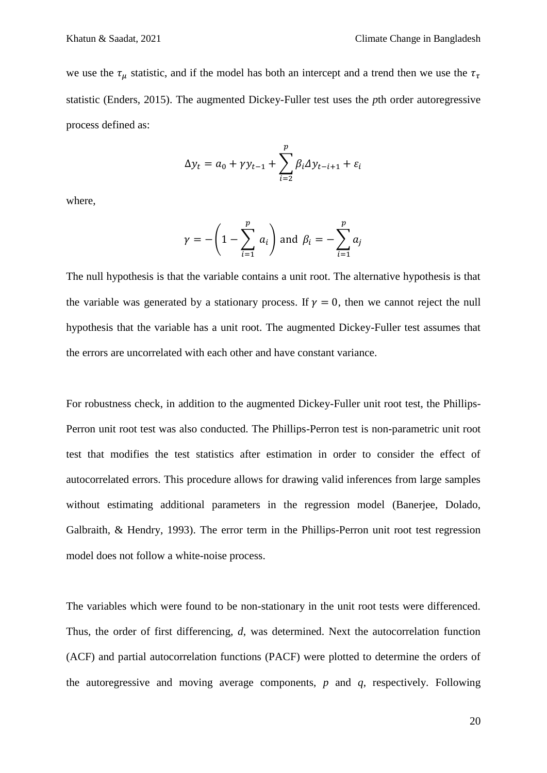we use the  $\tau_u$  statistic, and if the model has both an intercept and a trend then we use the  $\tau_{\tau}$ statistic (Enders, 2015). The augmented Dickey-Fuller test uses the *p*th order autoregressive process defined as:

$$
\Delta y_t = a_0 + \gamma y_{t-1} + \sum_{i=2}^p \beta_i \Delta y_{t-i+1} + \varepsilon_i
$$

where,

$$
\gamma = -\left(1 - \sum_{i=1}^p a_i\right)
$$
 and  $\beta_i = -\sum_{i=1}^p a_i$ 

The null hypothesis is that the variable contains a unit root. The alternative hypothesis is that the variable was generated by a stationary process. If  $\gamma = 0$ , then we cannot reject the null hypothesis that the variable has a unit root. The augmented Dickey-Fuller test assumes that the errors are uncorrelated with each other and have constant variance.

For robustness check, in addition to the augmented Dickey-Fuller unit root test, the Phillips-Perron unit root test was also conducted. The Phillips-Perron test is non-parametric unit root test that modifies the test statistics after estimation in order to consider the effect of autocorrelated errors. This procedure allows for drawing valid inferences from large samples without estimating additional parameters in the regression model (Banerjee, Dolado, Galbraith, & Hendry, 1993). The error term in the Phillips-Perron unit root test regression model does not follow a white-noise process.

The variables which were found to be non-stationary in the unit root tests were differenced. Thus, the order of first differencing, *d*, was determined. Next the autocorrelation function (ACF) and partial autocorrelation functions (PACF) were plotted to determine the orders of the autoregressive and moving average components, *p* and *q*, respectively. Following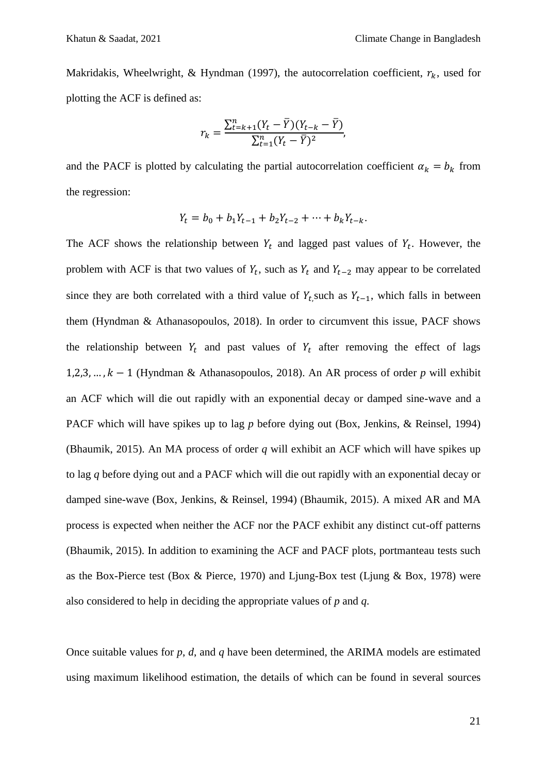Makridakis, Wheelwright, & Hyndman (1997), the autocorrelation coefficient,  $r_k$ , used for plotting the ACF is defined as:

$$
r_{k} = \frac{\sum_{t=k+1}^{n} (Y_{t} - \overline{Y})(Y_{t-k} - \overline{Y})}{\sum_{t=1}^{n} (Y_{t} - \overline{Y})^{2}},
$$

and the PACF is plotted by calculating the partial autocorrelation coefficient  $\alpha_k = b_k$  from the regression:

$$
Y_t = b_0 + b_1 Y_{t-1} + b_2 Y_{t-2} + \dots + b_k Y_{t-k}.
$$

The ACF shows the relationship between  $Y_t$  and lagged past values of  $Y_t$ . However, the problem with ACF is that two values of  $Y_t$ , such as  $Y_t$  and  $Y_{t-2}$  may appear to be correlated since they are both correlated with a third value of  $Y_t$  such as  $Y_{t-1}$ , which falls in between them (Hyndman & Athanasopoulos, 2018). In order to circumvent this issue, PACF shows the relationship between  $Y_t$  and past values of  $Y_t$  after removing the effect of lags 1,2,3, ...,  $k-1$  (Hyndman & Athanasopoulos, 2018). An AR process of order *p* will exhibit an ACF which will die out rapidly with an exponential decay or damped sine-wave and a PACF which will have spikes up to lag *p* before dying out (Box, Jenkins, & Reinsel, 1994) (Bhaumik, 2015). An MA process of order *q* will exhibit an ACF which will have spikes up to lag *q* before dying out and a PACF which will die out rapidly with an exponential decay or damped sine-wave (Box, Jenkins, & Reinsel, 1994) (Bhaumik, 2015). A mixed AR and MA process is expected when neither the ACF nor the PACF exhibit any distinct cut-off patterns (Bhaumik, 2015). In addition to examining the ACF and PACF plots, portmanteau tests such as the Box-Pierce test (Box & Pierce, 1970) and Ljung-Box test (Ljung & Box, 1978) were also considered to help in deciding the appropriate values of *p* and *q*.

Once suitable values for *p*, *d*, and *q* have been determined, the ARIMA models are estimated using maximum likelihood estimation, the details of which can be found in several sources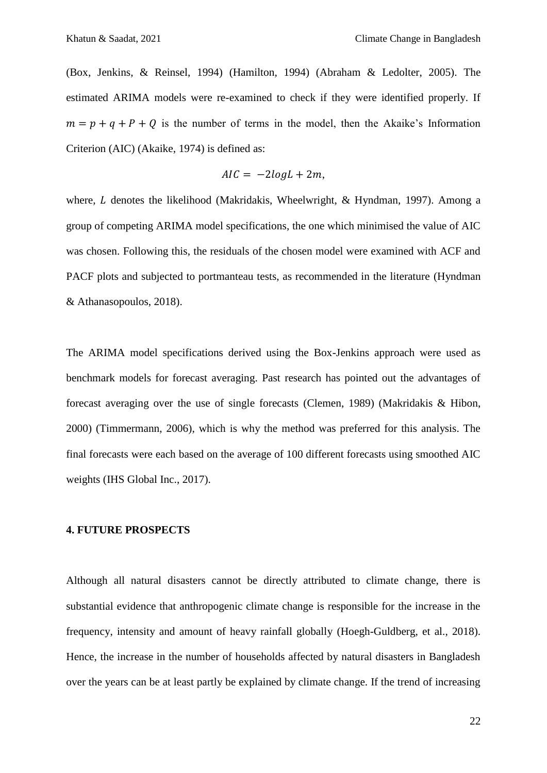(Box, Jenkins, & Reinsel, 1994) (Hamilton, 1994) (Abraham & Ledolter, 2005). The estimated ARIMA models were re-examined to check if they were identified properly. If  $m = p + q + P + Q$  is the number of terms in the model, then the Akaike's Information Criterion (AIC) (Akaike, 1974) is defined as:

$$
AIC = -2logL + 2m,
$$

where,  $L$  denotes the likelihood (Makridakis, Wheelwright,  $\&$  Hyndman, 1997). Among a group of competing ARIMA model specifications, the one which minimised the value of AIC was chosen. Following this, the residuals of the chosen model were examined with ACF and PACF plots and subjected to portmanteau tests, as recommended in the literature (Hyndman & Athanasopoulos, 2018).

The ARIMA model specifications derived using the Box-Jenkins approach were used as benchmark models for forecast averaging. Past research has pointed out the advantages of forecast averaging over the use of single forecasts (Clemen, 1989) (Makridakis & Hibon, 2000) (Timmermann, 2006), which is why the method was preferred for this analysis. The final forecasts were each based on the average of 100 different forecasts using smoothed AIC weights (IHS Global Inc., 2017).

### **4. FUTURE PROSPECTS**

Although all natural disasters cannot be directly attributed to climate change, there is substantial evidence that anthropogenic climate change is responsible for the increase in the frequency, intensity and amount of heavy rainfall globally (Hoegh-Guldberg, et al., 2018). Hence, the increase in the number of households affected by natural disasters in Bangladesh over the years can be at least partly be explained by climate change. If the trend of increasing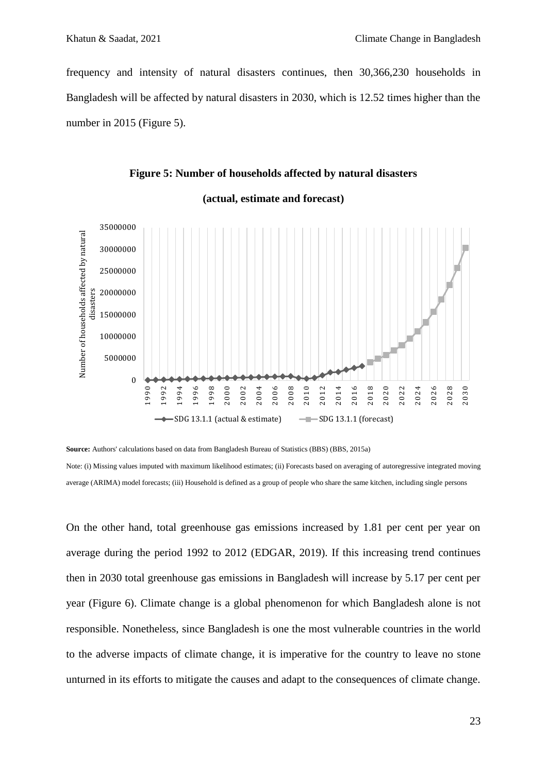frequency and intensity of natural disasters continues, then 30,366,230 households in Bangladesh will be affected by natural disasters in 2030, which is 12.52 times higher than the number in 2015 (Figure 5).

### **Figure 5: Number of households affected by natural disasters**



#### **(actual, estimate and forecast)**

**Source:** Authors' calculations based on data from Bangladesh Bureau of Statistics (BBS) (BBS, 2015a) Note: (i) Missing values imputed with maximum likelihood estimates; (ii) Forecasts based on averaging of autoregressive integrated moving average (ARIMA) model forecasts; (iii) Household is defined as a group of people who share the same kitchen, including single persons

On the other hand, total greenhouse gas emissions increased by 1.81 per cent per year on average during the period 1992 to 2012 (EDGAR, 2019). If this increasing trend continues then in 2030 total greenhouse gas emissions in Bangladesh will increase by 5.17 per cent per year (Figure 6). Climate change is a global phenomenon for which Bangladesh alone is not responsible. Nonetheless, since Bangladesh is one the most vulnerable countries in the world to the adverse impacts of climate change, it is imperative for the country to leave no stone unturned in its efforts to mitigate the causes and adapt to the consequences of climate change.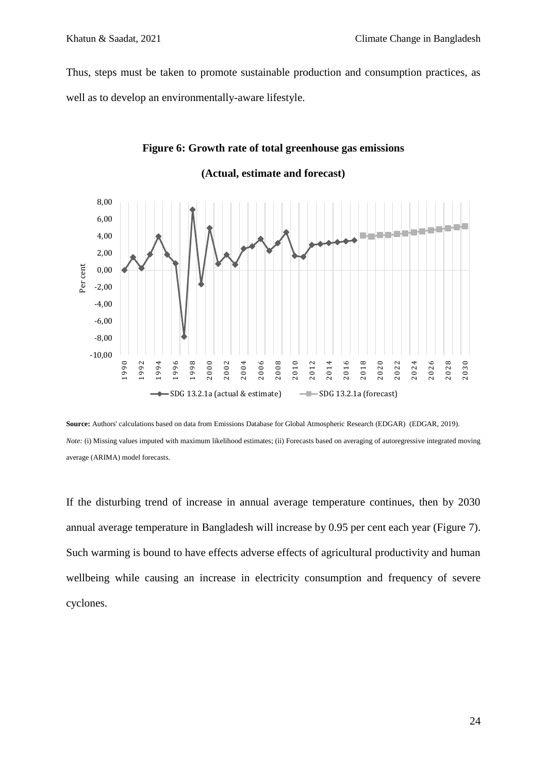Thus, steps must be taken to promote sustainable production and consumption practices, as well as to develop an environmentally-aware lifestyle.



### **Figure 6: Growth rate of total greenhouse gas emissions**

**Source:** Authors' calculations based on data from Emissions Database for Global Atmospheric Research (EDGAR) (EDGAR, 2019). *Note:* (i) Missing values imputed with maximum likelihood estimates; (ii) Forecasts based on averaging of autoregressive integrated moving average (ARIMA) model forecasts.

If the disturbing trend of increase in annual average temperature continues, then by 2030 annual average temperature in Bangladesh will increase by 0.95 per cent each year (Figure 7). Such warming is bound to have effects adverse effects of agricultural productivity and human wellbeing while causing an increase in electricity consumption and frequency of severe cyclones.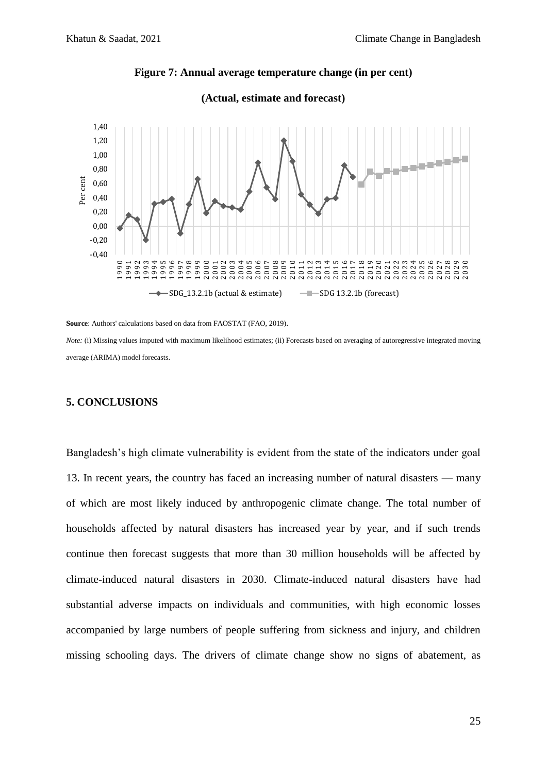

### **Figure 7: Annual average temperature change (in per cent)**

**Source**: Authors' calculations based on data from FAOSTAT (FAO, 2019). *Note:* (i) Missing values imputed with maximum likelihood estimates: (ii) Forecasts based on averaging of autoregressive integrated moving

average (ARIMA) model forecasts.

### **5. CONCLUSIONS**

Bangladesh's high climate vulnerability is evident from the state of the indicators under goal 13. In recent years, the country has faced an increasing number of natural disasters — many of which are most likely induced by anthropogenic climate change. The total number of households affected by natural disasters has increased year by year, and if such trends continue then forecast suggests that more than 30 million households will be affected by climate-induced natural disasters in 2030. Climate-induced natural disasters have had substantial adverse impacts on individuals and communities, with high economic losses accompanied by large numbers of people suffering from sickness and injury, and children missing schooling days. The drivers of climate change show no signs of abatement, as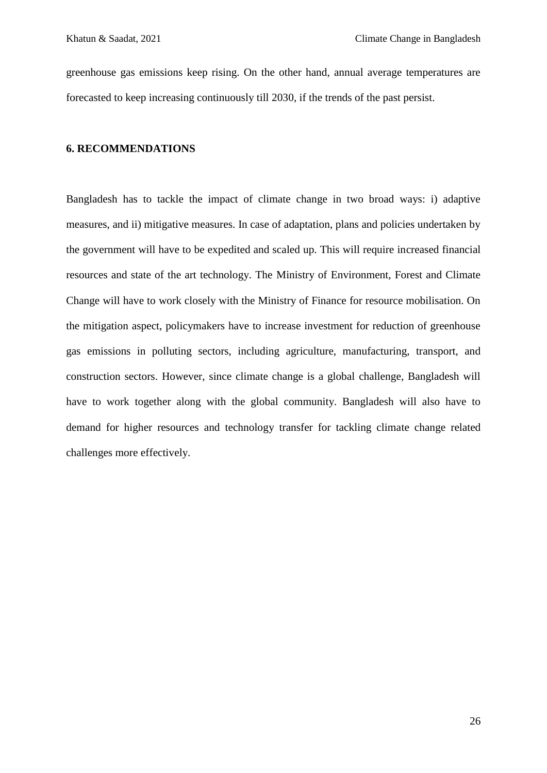greenhouse gas emissions keep rising. On the other hand, annual average temperatures are forecasted to keep increasing continuously till 2030, if the trends of the past persist.

### **6. RECOMMENDATIONS**

Bangladesh has to tackle the impact of climate change in two broad ways: i) adaptive measures, and ii) mitigative measures. In case of adaptation, plans and policies undertaken by the government will have to be expedited and scaled up. This will require increased financial resources and state of the art technology. The Ministry of Environment, Forest and Climate Change will have to work closely with the Ministry of Finance for resource mobilisation. On the mitigation aspect, policymakers have to increase investment for reduction of greenhouse gas emissions in polluting sectors, including agriculture, manufacturing, transport, and construction sectors. However, since climate change is a global challenge, Bangladesh will have to work together along with the global community. Bangladesh will also have to demand for higher resources and technology transfer for tackling climate change related challenges more effectively.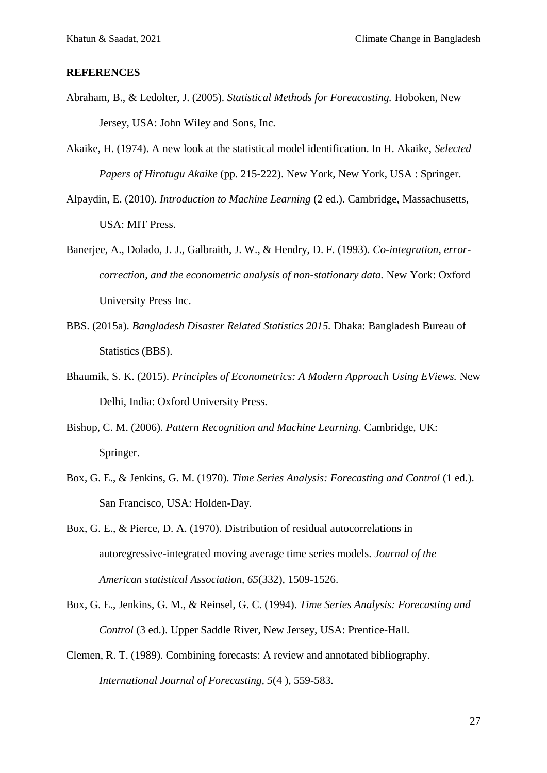### **REFERENCES**

- Abraham, B., & Ledolter, J. (2005). *Statistical Methods for Foreacasting.* Hoboken, New Jersey, USA: John Wiley and Sons, Inc.
- Akaike, H. (1974). A new look at the statistical model identification. In H. Akaike, *Selected Papers of Hirotugu Akaike* (pp. 215-222). New York, New York, USA : Springer.
- Alpaydin, E. (2010). *Introduction to Machine Learning* (2 ed.). Cambridge, Massachusetts, USA: MIT Press.
- Banerjee, A., Dolado, J. J., Galbraith, J. W., & Hendry, D. F. (1993). *Co-integration, errorcorrection, and the econometric analysis of non-stationary data.* New York: Oxford University Press Inc.
- BBS. (2015a). *Bangladesh Disaster Related Statistics 2015.* Dhaka: Bangladesh Bureau of Statistics (BBS).
- Bhaumik, S. K. (2015). *Principles of Econometrics: A Modern Approach Using EViews.* New Delhi, India: Oxford University Press.
- Bishop, C. M. (2006). *Pattern Recognition and Machine Learning.* Cambridge, UK: Springer.
- Box, G. E., & Jenkins, G. M. (1970). *Time Series Analysis: Forecasting and Control* (1 ed.). San Francisco, USA: Holden-Day.
- Box, G. E., & Pierce, D. A. (1970). Distribution of residual autocorrelations in autoregressive-integrated moving average time series models. *Journal of the American statistical Association, 65*(332), 1509-1526.
- Box, G. E., Jenkins, G. M., & Reinsel, G. C. (1994). *Time Series Analysis: Forecasting and Control* (3 ed.). Upper Saddle River, New Jersey, USA: Prentice-Hall.
- Clemen, R. T. (1989). Combining forecasts: A review and annotated bibliography. *International Journal of Forecasting, 5*(4 ), 559-583.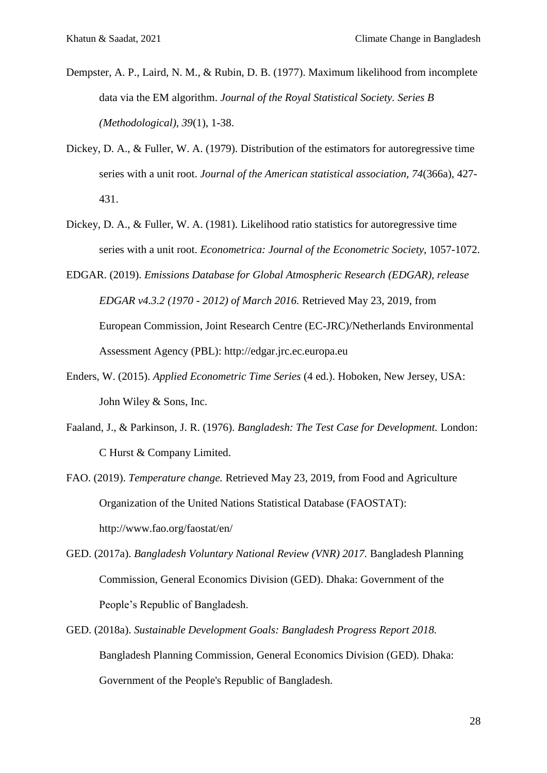- Dempster, A. P., Laird, N. M., & Rubin, D. B. (1977). Maximum likelihood from incomplete data via the EM algorithm. *Journal of the Royal Statistical Society. Series B (Methodological), 39*(1), 1-38.
- Dickey, D. A., & Fuller, W. A. (1979). Distribution of the estimators for autoregressive time series with a unit root. *Journal of the American statistical association, 74*(366a), 427- 431.
- Dickey, D. A., & Fuller, W. A. (1981). Likelihood ratio statistics for autoregressive time series with a unit root. *Econometrica: Journal of the Econometric Society*, 1057-1072.
- EDGAR. (2019). *Emissions Database for Global Atmospheric Research (EDGAR), release EDGAR v4.3.2 (1970 - 2012) of March 2016.* Retrieved May 23, 2019, from European Commission, Joint Research Centre (EC-JRC)/Netherlands Environmental Assessment Agency (PBL): http://edgar.jrc.ec.europa.eu
- Enders, W. (2015). *Applied Econometric Time Series* (4 ed.). Hoboken, New Jersey, USA: John Wiley & Sons, Inc.
- Faaland, J., & Parkinson, J. R. (1976). *Bangladesh: The Test Case for Development.* London: C Hurst & Company Limited.
- FAO. (2019). *Temperature change.* Retrieved May 23, 2019, from Food and Agriculture Organization of the United Nations Statistical Database (FAOSTAT): http://www.fao.org/faostat/en/
- GED. (2017a). *Bangladesh Voluntary National Review (VNR) 2017.* Bangladesh Planning Commission, General Economics Division (GED). Dhaka: Government of the People's Republic of Bangladesh.
- GED. (2018a). *Sustainable Development Goals: Bangladesh Progress Report 2018.* Bangladesh Planning Commission, General Economics Division (GED). Dhaka: Government of the People's Republic of Bangladesh.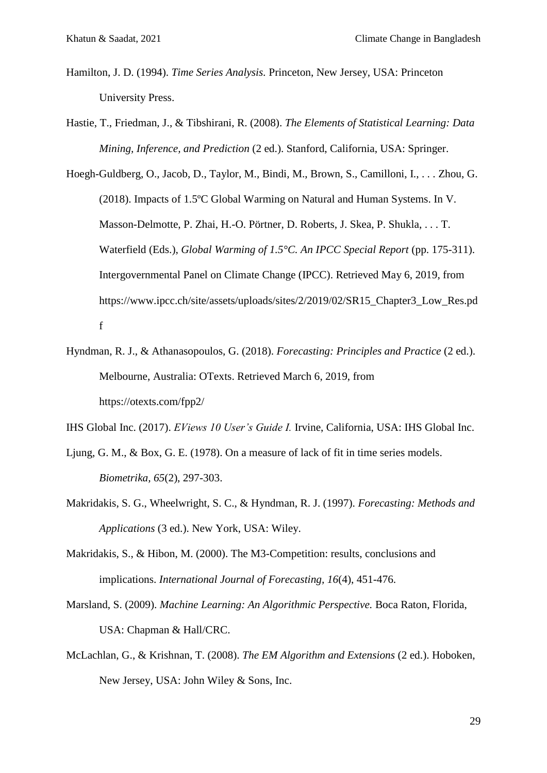- Hamilton, J. D. (1994). *Time Series Analysis.* Princeton, New Jersey, USA: Princeton University Press.
- Hastie, T., Friedman, J., & Tibshirani, R. (2008). *The Elements of Statistical Learning: Data Mining, Inference, and Prediction* (2 ed.). Stanford, California, USA: Springer.

Hoegh-Guldberg, O., Jacob, D., Taylor, M., Bindi, M., Brown, S., Camilloni, I., . . . Zhou, G. (2018). Impacts of 1.5ºC Global Warming on Natural and Human Systems. In V. Masson-Delmotte, P. Zhai, H.-O. Pörtner, D. Roberts, J. Skea, P. Shukla, . . . T. Waterfield (Eds.), *Global Warming of 1.5°C. An IPCC Special Report* (pp. 175-311). Intergovernmental Panel on Climate Change (IPCC). Retrieved May 6, 2019, from https://www.ipcc.ch/site/assets/uploads/sites/2/2019/02/SR15\_Chapter3\_Low\_Res.pd f

Hyndman, R. J., & Athanasopoulos, G. (2018). *Forecasting: Principles and Practice* (2 ed.). Melbourne, Australia: OTexts. Retrieved March 6, 2019, from https://otexts.com/fpp2/

IHS Global Inc. (2017). *EViews 10 User's Guide I.* Irvine, California, USA: IHS Global Inc.

- Ljung, G. M., & Box, G. E. (1978). On a measure of lack of fit in time series models. *Biometrika, 65*(2), 297-303.
- Makridakis, S. G., Wheelwright, S. C., & Hyndman, R. J. (1997). *Forecasting: Methods and Applications* (3 ed.). New York, USA: Wiley.
- Makridakis, S., & Hibon, M. (2000). The M3-Competition: results, conclusions and implications. *International Journal of Forecasting, 16*(4), 451-476.
- Marsland, S. (2009). *Machine Learning: An Algorithmic Perspective.* Boca Raton, Florida, USA: Chapman & Hall/CRC.
- McLachlan, G., & Krishnan, T. (2008). *The EM Algorithm and Extensions* (2 ed.). Hoboken, New Jersey, USA: John Wiley & Sons, Inc.